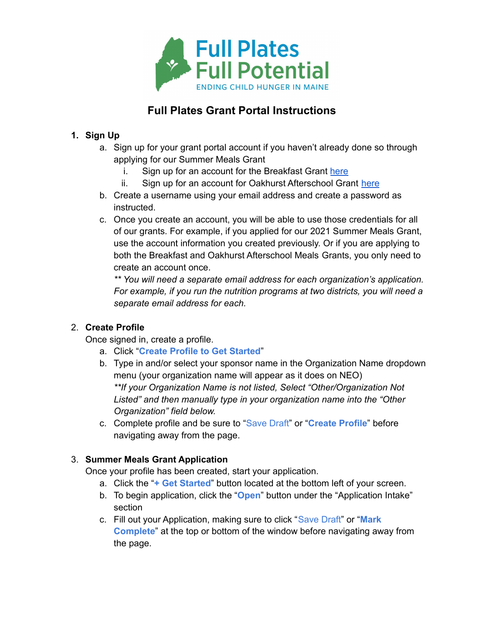

# **Full Plates Grant Portal Instructions**

## **1. Sign Up**

- a. Sign up for your grant portal account if you haven't already done so through applying for our Summer Meals Grant
	- i. Sign up for an account for the Breakfast Grant [here](https://webportalapp.com/sp/signup/full_plates_breakfast)
	- ii. Sign up for an account for Oakhurst Afterschool Grant [here](https://webportalapp.com/sp/signup/full_plates_after_school)
- b. Create a username using your email address and create a password as instructed.
- c. Once you create an account, you will be able to use those credentials for all of our grants. For example, if you applied for our 2021 Summer Meals Grant, use the account information you created previously. Or if you are applying to both the Breakfast and Oakhurst Afterschool Meals Grants, you only need to create an account once.

*\*\* You will need a separate email address for each organization's application. For example, if you run the nutrition programs at two districts, you will need a separate email address for each.*

### 2. **Create Profile**

Once signed in, create a profile.

- a. Click "**Create Profile to Get Started**"
- b. Type in and/or select your sponsor name in the Organization Name dropdown menu (your organization name will appear as it does on NEO) *\*\*If your Organization Name is not listed, Select "Other/Organization Not Listed" and then manually type in your organization name into the "Other Organization" field below.*
- c. Complete profile and be sure to "Save Draft" or "**Create Profile**" before navigating away from the page.

### 3. **Summer Meals Grant Application**

Once your profile has been created, start your application.

- a. Click the "**+ Get Started**" button located at the bottom left of your screen.
- b. To begin application, click the "**Open**" button under the "Application Intake" section
- c. Fill out your Application, making sure to click "Save Draft" or "**Mark Complete**" at the top or bottom of the window before navigating away from the page.